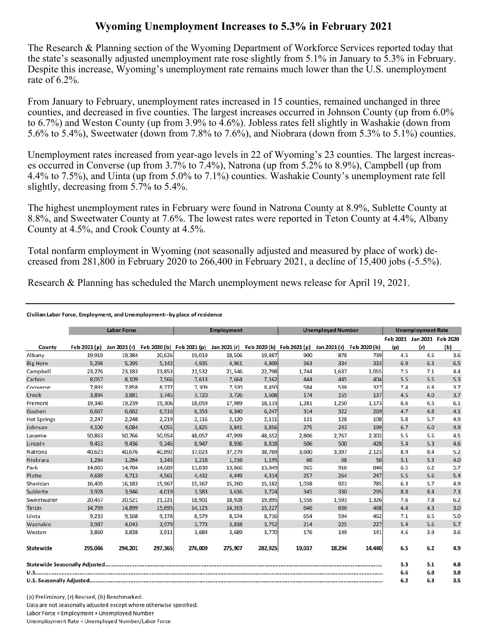## **Wyoming Unemployment Increases to 5.3% in February 2021**

The Research & Planning section of the Wyoming Department of Workforce Services reported today that the state's seasonally adjusted unemployment rate rose slightly from 5.1% in January to 5.3% in February. Despite this increase, Wyoming's unemployment rate remains much lower than the U.S. unemployment rate of 6.2%.

From January to February, unemployment rates increased in 15 counties, remained unchanged in three counties, and decreased in five counties. The largest increases occurred in Johnson County (up from 6.0% to 6.7%) and Weston County (up from 3.9% to 4.6%). Jobless rates fell slightly in Washakie (down from 5.6% to 5.4%), Sweetwater (down from 7.8% to 7.6%), and Niobrara (down from 5.3% to 5.1%) counties.

Unemployment rates increased from year-ago levels in 22 of Wyoming's 23 counties. The largest increases occurred in Converse (up from 3.7% to 7.4%), Natrona (up from 5.2% to 8.9%), Campbell (up from 4.4% to 7.5%), and Uinta (up from 5.0% to 7.1%) counties. Washakie County's unemployment rate fell slightly, decreasing from 5.7% to 5.4%.

The highest unemployment rates in February were found in Natrona County at 8.9%, Sublette County at 8.8%, and Sweetwater County at 7.6%. The lowest rates were reported in Teton County at 4.4%, Albany County at 4.5%, and Crook County at 4.5%.

Total nonfarm employment in Wyoming (not seasonally adjusted and measured by place of work) decreased from 281,800 in February 2020 to 266,400 in February 2021, a decline of 15,400 jobs (-5.5%).

Research & Planning has scheduled the March unemployment news release for April 19, 2021.

## Civilian Labor Force, Employment, and Unemployment--by place of residence

|                    | <b>Labor Force</b> |         |         | <b>Employment</b>                                                             |         |         | <b>Unemployed Number</b> |              |              | <b>Unemployment Rate</b> |                            |     |
|--------------------|--------------------|---------|---------|-------------------------------------------------------------------------------|---------|---------|--------------------------|--------------|--------------|--------------------------|----------------------------|-----|
|                    |                    |         |         |                                                                               |         |         |                          |              |              |                          | Feb 2021 Jan 2021 Feb 2020 |     |
| County             | Feb 2021 (p)       |         |         | Jan 2021 (r) Feb 2020 (b) Feb 2021 (p) Jan 2021 (r) Feb 2020 (b) Feb 2021 (p) |         |         |                          | Jan 2021 (r) | Feb 2020 (b) | (p)                      | (r)                        | (b) |
| Albany             | 19,919             | 19,384  | 20,626  | 19,019                                                                        | 18,506  | 19,887  | 900                      | 878          | 739          | 4.5                      | 4.5                        | 3.6 |
| <b>Big Horn</b>    | 5,298              | 5,295   | 5,142   | 4,935                                                                         | 4,961   | 4,809   | 363                      | 334          | 333          | 6.9                      | 6.3                        | 6.5 |
| Campbell           | 23,276             | 23,183  | 23,853  | 21,532                                                                        | 21,546  | 22,798  | 1,744                    | 1,637        | 1,055        | 7.5                      | 7.1                        | 4.4 |
| Carbon             | 8.057              | 8,109   | 7,566   | 7,613                                                                         | 7.664   | 7,162   | 444                      | 445          | 404          | 5.5                      | 5.5                        | 5.3 |
| Converse           | 7,893              | 7,858   | 8,777   | 7,309                                                                         | 7,320   | 8,450   | 584                      | 538          | 327          | 7.4                      | 6.8                        | 3.7 |
| Crook              | 3,894              | 3,881   | 3,745   | 3,720                                                                         | 3,726   | 3,608   | 174                      | 155          | 137          | 4.5                      | 4.0                        | 3.7 |
| Fremont            | 19,340             | 19,239  | 19,306  | 18,059                                                                        | 17,989  | 18,133  | 1,281                    | 1,250        | 1,173        | 6.6                      | 6.5                        | 6.1 |
| Goshen             | 6,667              | 6,662   | 6,516   | 6,353                                                                         | 6,340   | 6,247   | 314                      | 322          | 269          | 4.7                      | 4.8                        | 4.1 |
| <b>Hot Springs</b> | 2,247              | 2,248   | 2,219   | 2,116                                                                         | 2,120   | 2,111   | 131                      | 128          | 108          | 5.8                      | 5.7                        | 4.9 |
| Johnson            | 4,100              | 4,084   | 4,055   | 3,825                                                                         | 3,841   | 3,856   | 275                      | 243          | 199          | 6.7                      | 6.0                        | 4.9 |
| Laramie            | 50,863             | 50,766  | 50,954  | 48,057                                                                        | 47,999  | 48,652  | 2,806                    | 2,767        | 2,302        | 5.5                      | 5.5                        | 4.5 |
| Lincoln            | 9,453              | 9,436   | 9,246   | 8,947                                                                         | 8,936   | 8,818   | 506                      | 500          | 428          | 5.4                      | 5.3                        | 4.6 |
| Natrona            | 40,623             | 40,676  | 40,892  | 37,023                                                                        | 37,279  | 38,769  | 3,600                    | 3,397        | 2,123        | 8.9                      | 8.4                        | 5.2 |
| Niobrara           | 1,284              | 1,284   | 1,245   | 1,218                                                                         | 1,216   | 1,195   | 66                       | 68           | 50           | 5.1                      | 5.3                        | 4.0 |
| Park               | 14,803             | 14,784  | 14,689  | 13,838                                                                        | 13,866  | 13,849  | 965                      | 918          | 840          | 6.5                      | 6.2                        | 5.7 |
| Platte             | 4.689              | 4,713   | 4,561   | 4,432                                                                         | 4,449   | 4,314   | 257                      | 264          | 247          | 5.5                      | 5.6                        | 5.4 |
| Sheridan           | 16,405             | 16,183  | 15,967  | 15,367                                                                        | 15,260  | 15,182  | 1.038                    | 923          | 785          | 6.3                      | 5.7                        | 4.9 |
| Sublette           | 3,928              | 3,946   | 4,019   | 3,583                                                                         | 3,616   | 3,724   | 345                      | 330          | 295          | 8.8                      | 8.4                        | 7.3 |
| Sweetwater         | 20,457             | 20,521  | 21,221  | 18,901                                                                        | 18,928  | 19,895  | 1,556                    | 1,593        | 1,326        | 7.6                      | 7.8                        | 6.2 |
| Teton              | 14,769             | 14,899  | 15,695  | 14,123                                                                        | 14,263  | 15,227  | 646                      | 636          | 468          | 4.4                      | 4.3                        | 3.0 |
| Uinta              | 9,233              | 9,168   | 9,178   | 8,579                                                                         | 8,574   | 8,716   | 654                      | 594          | 462          | 7.1                      | 6.5                        | 5.0 |
| Washakie           | 3,987              | 4,043   | 3,979   | 3,773                                                                         | 3,818   | 3,752   | 214                      | 225          | 227          | 5.4                      | 5.6                        | 5.7 |
| Weston             | 3,860              | 3,838   | 3,911   | 3,684                                                                         | 3,689   | 3,770   | 176                      | 149          | 141          | 4.6                      | 3.9                        | 3.6 |
| Statewide          | 295,046            | 294,201 | 297,365 | 276,009                                                                       | 275,907 | 282,925 | 19,037                   | 18,294       | 14,440       | 6.5                      | 6.2                        | 4.9 |
|                    |                    |         |         |                                                                               |         |         |                          |              |              | 5.3                      | 5.1                        | 4.8 |
|                    |                    |         |         |                                                                               |         |         |                          |              |              | 6.6                      | 6.8                        | 3.8 |
|                    |                    |         |         |                                                                               |         |         |                          |              |              | 6.2                      | 6.3                        | 3.5 |

(p) Preliminary, (r) Revised, (b) Benchmarked. Data are not seasonally adjusted except where otherwise specified. Labor Force = Employment + Unemployed Number Unemployment Rate = Unemployed Number/Labor Force